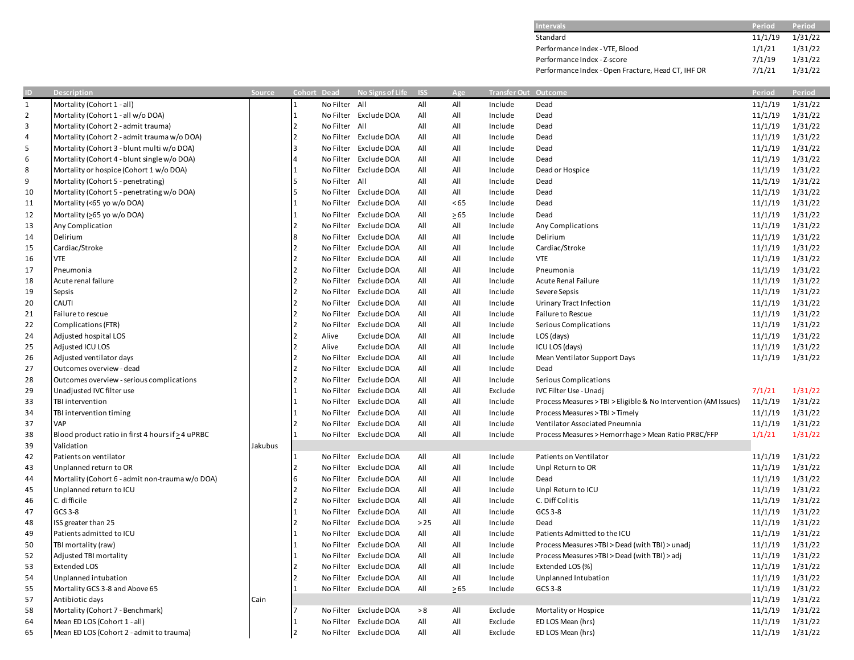| <b>Intervals</b>                                   | Period  | Period  |
|----------------------------------------------------|---------|---------|
| Standard                                           | 11/1/19 | 1/31/22 |
| Performance Index - VTE, Blood                     | 1/1/21  | 1/31/22 |
| Performance Index - Z-score                        | 7/1/19  | 1/31/22 |
| Performance Index - Open Fracture, Head CT, IHF OR | 7/1/21  | 1/31/22 |

| ID             | <b>Description</b>                                | Source  | Cohort Dead             |               | No Signs of Life      | <b>ISS</b> | Age       | <b>Transfer Out Outcome</b> |                                                                 | Period  | Period  |
|----------------|---------------------------------------------------|---------|-------------------------|---------------|-----------------------|------------|-----------|-----------------------------|-----------------------------------------------------------------|---------|---------|
| $\mathbf 1$    | Mortality (Cohort 1 - all)                        |         |                         | No Filter All |                       | All        | All       | Include                     | Dead                                                            | 11/1/19 | 1/31/22 |
| $\overline{2}$ | Mortality (Cohort 1 - all w/o DOA)                |         | $\mathbf{1}$            |               | No Filter Exclude DOA | All        | All       | Include                     | Dead                                                            | 11/1/19 | 1/31/22 |
| 3              | Mortality (Cohort 2 - admit trauma)               |         | $\mathcal{P}$           | No Filter All |                       | All        | All       | Include                     | Dead                                                            | 11/1/19 | 1/31/22 |
| $\overline{4}$ | Mortality (Cohort 2 - admit trauma w/o DOA)       |         | $\overline{2}$          |               | No Filter Exclude DOA | All        | All       | Include                     | Dead                                                            | 11/1/19 | 1/31/22 |
| 5              | Mortality (Cohort 3 - blunt multi w/o DOA)        |         |                         |               | No Filter Exclude DOA | All        | All       | Include                     | Dead                                                            | 11/1/19 | 1/31/22 |
| 6              | Mortality (Cohort 4 - blunt single w/o DOA)       |         |                         |               | No Filter Exclude DOA | All        | All       | Include                     | Dead                                                            | 11/1/19 | 1/31/22 |
| 8              | Mortality or hospice (Cohort 1 w/o DOA)           |         |                         |               | No Filter Exclude DOA | All        | All       | Include                     | Dead or Hospice                                                 | 11/1/19 | 1/31/22 |
| 9              | Mortality (Cohort 5 - penetrating)                |         |                         | No Filter All |                       | All        | All       | Include                     | Dead                                                            | 11/1/19 | 1/31/22 |
| 10             | Mortality (Cohort 5 - penetrating w/o DOA)        |         |                         |               | No Filter Exclude DOA | All        | All       | Include                     | Dead                                                            | 11/1/19 | 1/31/22 |
| 11             | Mortality (<65 yo w/o DOA)                        |         |                         |               | No Filter Exclude DOA | All        | <65       | Include                     | Dead                                                            | 11/1/19 | 1/31/22 |
| 12             | Mortality (>65 yo w/o DOA)                        |         |                         |               | No Filter Exclude DOA | All        | $\geq 65$ | Include                     | Dead                                                            | 11/1/19 | 1/31/22 |
| 13             | Any Complication                                  |         |                         |               | No Filter Exclude DOA | All        | All       | Include                     | Any Complications                                               | 11/1/19 | 1/31/22 |
| 14             | Delirium                                          |         |                         |               | No Filter Exclude DOA | All        | All       | Include                     | Delirium                                                        | 11/1/19 | 1/31/22 |
| 15             | Cardiac/Stroke                                    |         |                         |               | No Filter Exclude DOA | All        | All       | Include                     | Cardiac/Stroke                                                  | 11/1/19 | 1/31/22 |
| 16             | <b>VTE</b>                                        |         | $\overline{2}$          |               | No Filter Exclude DOA | All        | All       | Include                     | <b>VTE</b>                                                      | 11/1/19 | 1/31/22 |
| 17             | Pneumonia                                         |         | $\overline{2}$          |               | No Filter Exclude DOA | All        | All       | Include                     | Pneumonia                                                       | 11/1/19 | 1/31/22 |
| 18             | Acute renal failure                               |         | $\overline{2}$          |               | No Filter Exclude DOA | All        | All       | Include                     | Acute Renal Failure                                             | 11/1/19 | 1/31/22 |
| 19             | Sepsis                                            |         |                         |               | No Filter Exclude DOA | All        | All       | Include                     | Severe Sepsis                                                   | 11/1/19 | 1/31/22 |
| 20             | CAUTI                                             |         | $\overline{2}$          |               | No Filter Exclude DOA | All        | All       | Include                     | Urinary Tract Infection                                         | 11/1/19 | 1/31/22 |
| 21             | Failure to rescue                                 |         | $\overline{2}$          |               | No Filter Exclude DOA | All        | All       | Include                     | Failure to Rescue                                               | 11/1/19 | 1/31/22 |
| 22             | Complications (FTR)                               |         | $\overline{2}$          |               | No Filter Exclude DOA | All        | All       | Include                     | Serious Complications                                           | 11/1/19 | 1/31/22 |
| 24             | Adjusted hospital LOS                             |         | $\overline{2}$<br>Alive |               | Exclude DOA           | All        | All       | Include                     | LOS (days)                                                      | 11/1/19 | 1/31/22 |
| 25             | Adjusted ICU LOS                                  |         | $\overline{2}$<br>Alive |               | Exclude DOA           | All        | All       | Include                     | ICU LOS (days)                                                  | 11/1/19 | 1/31/22 |
| 26             | Adjusted ventilator days                          |         | $\overline{2}$          |               | No Filter Exclude DOA | All        | All       | Include                     | Mean Ventilator Support Days                                    | 11/1/19 | 1/31/22 |
| 27             | Outcomes overview - dead                          |         | $\overline{2}$          |               | No Filter Exclude DOA | All        | All       | Include                     | Dead                                                            |         |         |
| 28             | Outcomes overview - serious complications         |         |                         |               | No Filter Exclude DOA | All        | All       | Include                     | Serious Complications                                           |         |         |
| 29             | Unadjusted IVC filter use                         |         | $\mathbf{1}$            |               | No Filter Exclude DOA | All        | All       | Exclude                     | IVC Filter Use - Unadi                                          | 7/1/21  | 1/31/22 |
| 33             | TBI intervention                                  |         |                         |               | No Filter Exclude DOA | All        | All       | Include                     | Process Measures > TBI > Eligible & No Intervention (AM Issues) | 11/1/19 | 1/31/22 |
| 34             | TBI intervention timing                           |         | $\mathbf{1}$            |               | No Filter Exclude DOA | All        | All       | Include                     | Process Measures > TBI > Timely                                 | 11/1/19 | 1/31/22 |
| 37             | <b>VAP</b>                                        |         |                         |               | No Filter Exclude DOA | All        | All       | Include                     | Ventilator Associated Pneumnia                                  | 11/1/19 | 1/31/22 |
| 38             | Blood product ratio in first 4 hours if > 4 uPRBC |         |                         |               | No Filter Exclude DOA | All        | All       | Include                     | Process Measures > Hemorrhage > Mean Ratio PRBC/FFP             | 1/1/21  | 1/31/22 |
| 39             | Validation                                        | Jakubus |                         |               |                       |            |           |                             |                                                                 |         |         |
| 42             | Patients on ventilator                            |         |                         |               | No Filter Exclude DOA | All        | All       | Include                     | Patients on Ventilator                                          | 11/1/19 | 1/31/22 |
| 43             | Unplanned return to OR                            |         |                         |               | No Filter Exclude DOA | All        | All       | Include                     | Unpl Return to OR                                               | 11/1/19 | 1/31/22 |
| 44             | Mortality (Cohort 6 - admit non-trauma w/o DOA)   |         |                         |               | No Filter Exclude DOA | All        | All       | Include                     | Dead                                                            | 11/1/19 | 1/31/22 |
| 45             | Unplanned return to ICU                           |         |                         |               | No Filter Exclude DOA | All        | All       | Include                     | Unpl Return to ICU                                              | 11/1/19 | 1/31/22 |
| 46             | C. difficile                                      |         | $\overline{2}$          |               | No Filter Exclude DOA | All        | All       | Include                     | C. Diff Colitis                                                 | 11/1/19 | 1/31/22 |
| 47             | GCS 3-8                                           |         |                         |               | No Filter Exclude DOA | All        | All       | Include                     | GCS 3-8                                                         | 11/1/19 | 1/31/22 |
| 48             | ISS greater than 25                               |         |                         |               | No Filter Exclude DOA | $>25$      | All       | Include                     | Dead                                                            | 11/1/19 | 1/31/22 |
| 49             | Patients admitted to ICU                          |         |                         |               | No Filter Exclude DOA | All        | All       | Include                     | Patients Admitted to the ICU                                    | 11/1/19 | 1/31/22 |
| 50             | TBI mortality (raw)                               |         |                         |               | No Filter Exclude DOA | All        | All       | Include                     | Process Measures >TBI > Dead (with TBI) > unadj                 | 11/1/19 | 1/31/22 |
| 52             | Adjusted TBI mortality                            |         |                         |               | No Filter Exclude DOA | All        | All       | Include                     | Process Measures >TBI > Dead (with TBI) > adj                   | 11/1/19 | 1/31/22 |
| 53             | <b>Extended LOS</b>                               |         |                         |               | No Filter Exclude DOA | All        | All       | Include                     | Extended LOS (%)                                                | 11/1/19 | 1/31/22 |
| 54             | Unplanned intubation                              |         |                         |               | No Filter Exclude DOA | All        | All       | Include                     | Unplanned Intubation                                            | 11/1/19 | 1/31/22 |
| 55             | Mortality GCS 3-8 and Above 65                    |         |                         |               | No Filter Exclude DOA | All        | > 65      | Include                     | GCS 3-8                                                         | 11/1/19 | 1/31/22 |
| 57             | Antibiotic days                                   | Cain    |                         |               |                       |            |           |                             |                                                                 | 11/1/19 | 1/31/22 |
| 58             | Mortality (Cohort 7 - Benchmark)                  |         |                         |               | No Filter Exclude DOA | > 8        | All       | Exclude                     | Mortality or Hospice                                            | 11/1/19 | 1/31/22 |
| 64             | Mean ED LOS (Cohort 1 - all)                      |         |                         |               | No Filter Exclude DOA | All        | All       | Exclude                     | ED LOS Mean (hrs)                                               | 11/1/19 | 1/31/22 |
| 65             | Mean ED LOS (Cohort 2 - admit to trauma)          |         | 2                       |               | No Filter Exclude DOA | All        | All       | Exclude                     | ED LOS Mean (hrs)                                               | 11/1/19 | 1/31/22 |